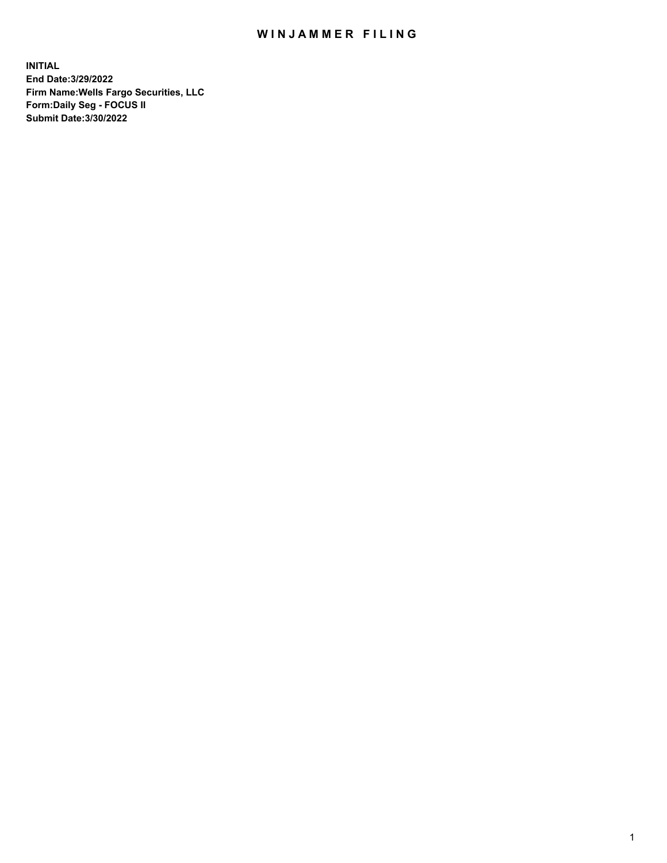## WIN JAMMER FILING

**INITIAL End Date:3/29/2022 Firm Name:Wells Fargo Securities, LLC Form:Daily Seg - FOCUS II Submit Date:3/30/2022**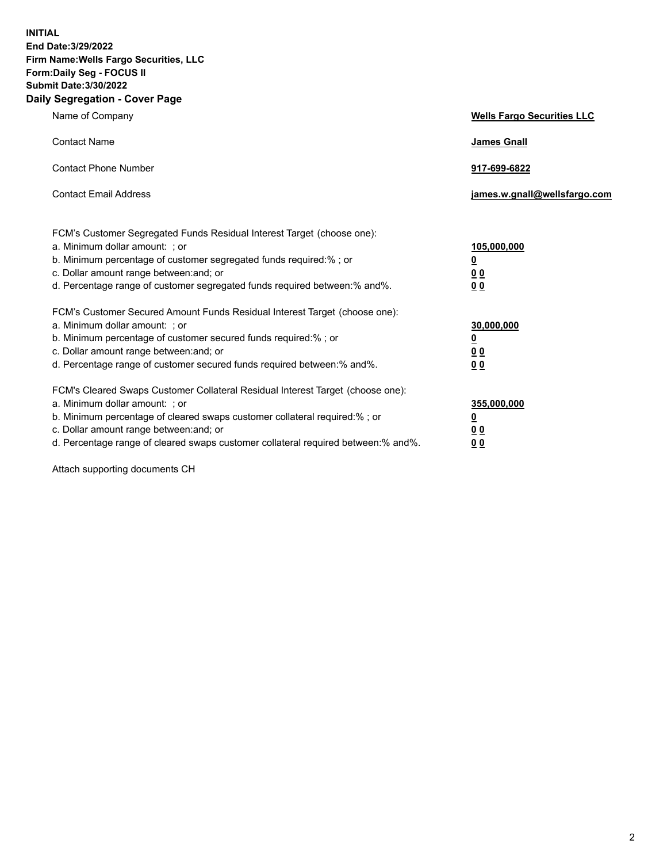**INITIAL End Date:3/29/2022 Firm Name:Wells Fargo Securities, LLC Form:Daily Seg - FOCUS II Submit Date:3/30/2022 Daily Segregation - Cover Page**

| Name of Company                                                                                                                                                                                                                                                                                                                | <b>Wells Fargo Securities LLC</b>                          |
|--------------------------------------------------------------------------------------------------------------------------------------------------------------------------------------------------------------------------------------------------------------------------------------------------------------------------------|------------------------------------------------------------|
| <b>Contact Name</b>                                                                                                                                                                                                                                                                                                            | <b>James Gnall</b>                                         |
| <b>Contact Phone Number</b>                                                                                                                                                                                                                                                                                                    | 917-699-6822                                               |
| <b>Contact Email Address</b>                                                                                                                                                                                                                                                                                                   | james.w.gnall@wellsfargo.com                               |
| FCM's Customer Segregated Funds Residual Interest Target (choose one):<br>a. Minimum dollar amount: ; or<br>b. Minimum percentage of customer segregated funds required:% ; or<br>c. Dollar amount range between: and; or<br>d. Percentage range of customer segregated funds required between:% and%.                         | 105,000,000<br><u>0</u><br>0 <sub>0</sub><br>00            |
| FCM's Customer Secured Amount Funds Residual Interest Target (choose one):<br>a. Minimum dollar amount: ; or<br>b. Minimum percentage of customer secured funds required:%; or<br>c. Dollar amount range between: and; or<br>d. Percentage range of customer secured funds required between:% and%.                            | 30,000,000<br><u>0</u><br>0 <sub>0</sub><br>0 <sub>0</sub> |
| FCM's Cleared Swaps Customer Collateral Residual Interest Target (choose one):<br>a. Minimum dollar amount: ; or<br>b. Minimum percentage of cleared swaps customer collateral required:% ; or<br>c. Dollar amount range between: and; or<br>d. Percentage range of cleared swaps customer collateral required between:% and%. | 355,000,000<br><u>0</u><br>00<br>00                        |

Attach supporting documents CH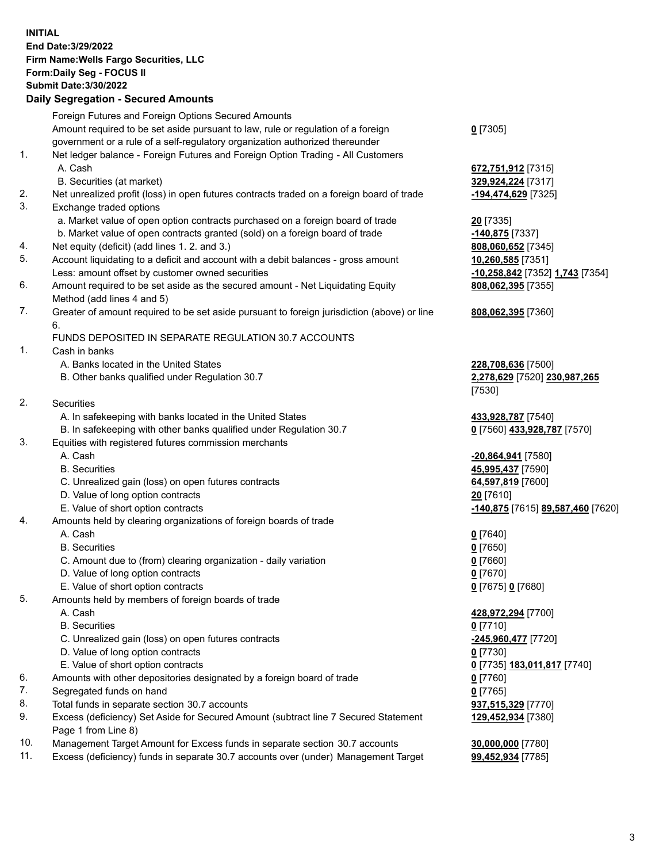**INITIAL End Date:3/29/2022 Firm Name:Wells Fargo Securities, LLC Form:Daily Seg - FOCUS II Submit Date:3/30/2022 Daily Segregation - Secured Amounts** Foreign Futures and Foreign Options Secured Amounts Amount required to be set aside pursuant to law, rule or regulation of a foreign government or a rule of a self-regulatory organization authorized thereunder 1. Net ledger balance - Foreign Futures and Foreign Option Trading - All Customers

- 
- 2. Net unrealized profit (loss) in open futures contracts traded on a foreign board of trade **-194,474,629** [7325]
- 3. Exchange traded options
	- a. Market value of open option contracts purchased on a foreign board of trade **20** [7335]
	- b. Market value of open contracts granted (sold) on a foreign board of trade **-140,875** [7337]
- 4. Net equity (deficit) (add lines 1. 2. and 3.) **808,060,652** [7345]
- 5. Account liquidating to a deficit and account with a debit balances gross amount **10,260,585** [7351] Less: amount offset by customer owned securities **-10,258,842** [7352] **1,743** [7354]
- 6. Amount required to be set aside as the secured amount Net Liquidating Equity Method (add lines 4 and 5)
- 7. Greater of amount required to be set aside pursuant to foreign jurisdiction (above) or line 6.

## FUNDS DEPOSITED IN SEPARATE REGULATION 30.7 ACCOUNTS

1. Cash in banks

- A. Banks located in the United States **228,708,636** [7500]
- B. Other banks qualified under Regulation 30.7 **2,278,629** [7520] **230,987,265**
- 2. Securities
	- A. In safekeeping with banks located in the United States **433,928,787** [7540]
- B. In safekeeping with other banks qualified under Regulation 30.7 **0** [7560] **433,928,787** [7570]
- 3. Equities with registered futures commission merchants
	-
	-
	- C. Unrealized gain (loss) on open futures contracts **64,597,819** [7600]
	- D. Value of long option contracts **20** [7610]
	-
- 4. Amounts held by clearing organizations of foreign boards of trade
	- A. Cash **0** [7640]
	- B. Securities **0** [7650]
	- C. Amount due to (from) clearing organization daily variation **0** [7660]
	- D. Value of long option contracts **0** [7670]
	- E. Value of short option contracts **0** [7675] **0** [7680]
- 5. Amounts held by members of foreign boards of trade
	-
	- B. Securities **0** [7710]
	- C. Unrealized gain (loss) on open futures contracts **-245,960,477** [7720]
	- D. Value of long option contracts **0** [7730]
	- E. Value of short option contracts **0** [7735] **183,011,817** [7740]
- 6. Amounts with other depositories designated by a foreign board of trade **0** [7760]
- 7. Segregated funds on hand **0** [7765]
- 8. Total funds in separate section 30.7 accounts **937,515,329** [7770]
- 9. Excess (deficiency) Set Aside for Secured Amount (subtract line 7 Secured Statement Page 1 from Line 8)
- 10. Management Target Amount for Excess funds in separate section 30.7 accounts **30,000,000** [7780]
- 11. Excess (deficiency) funds in separate 30.7 accounts over (under) Management Target **99,452,934** [7785]

## **0** [7305]

 A. Cash **672,751,912** [7315] B. Securities (at market) **329,924,224** [7317]

**808,062,395** [7355]

## **808,062,395** [7360]

[7530]

 A. Cash **-20,864,941** [7580] B. Securities **45,995,437** [7590] E. Value of short option contracts **-140,875** [7615] **89,587,460** [7620]

A. Cash **428,972,294** [7700]

**129,452,934** [7380]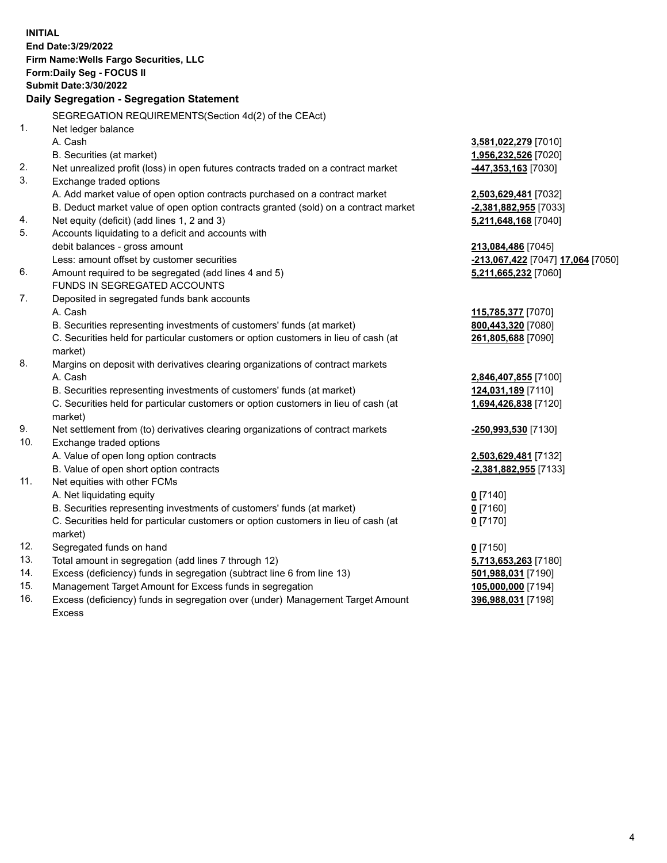**INITIAL End Date:3/29/2022 Firm Name:Wells Fargo Securities, LLC Form:Daily Seg - FOCUS II Submit Date:3/30/2022 Daily Segregation - Segregation Statement** SEGREGATION REQUIREMENTS(Section 4d(2) of the CEAct) 1. Net ledger balance A. Cash **3,581,022,279** [7010] B. Securities (at market) **1,956,232,526** [7020] 2. Net unrealized profit (loss) in open futures contracts traded on a contract market **-447,353,163** [7030] 3. Exchange traded options A. Add market value of open option contracts purchased on a contract market **2,503,629,481** [7032] B. Deduct market value of open option contracts granted (sold) on a contract market **-2,381,882,955** [7033] 4. Net equity (deficit) (add lines 1, 2 and 3) **5,211,648,168** [7040] 5. Accounts liquidating to a deficit and accounts with debit balances - gross amount **213,084,486** [7045] Less: amount offset by customer securities **-213,067,422** [7047] **17,064** [7050] 6. Amount required to be segregated (add lines 4 and 5) **5,211,665,232** [7060] FUNDS IN SEGREGATED ACCOUNTS 7. Deposited in segregated funds bank accounts A. Cash **115,785,377** [7070] B. Securities representing investments of customers' funds (at market) **800,443,320** [7080] C. Securities held for particular customers or option customers in lieu of cash (at market) **261,805,688** [7090] 8. Margins on deposit with derivatives clearing organizations of contract markets A. Cash **2,846,407,855** [7100] B. Securities representing investments of customers' funds (at market) **124,031,189** [7110] C. Securities held for particular customers or option customers in lieu of cash (at market) **1,694,426,838** [7120] 9. Net settlement from (to) derivatives clearing organizations of contract markets **-250,993,530** [7130] 10. Exchange traded options A. Value of open long option contracts **2,503,629,481** [7132] B. Value of open short option contracts **-2,381,882,955** [7133] 11. Net equities with other FCMs A. Net liquidating equity **0** [7140] B. Securities representing investments of customers' funds (at market) **0** [7160] C. Securities held for particular customers or option customers in lieu of cash (at market) **0** [7170] 12. Segregated funds on hand **0** [7150] 13. Total amount in segregation (add lines 7 through 12) **5,713,653,263** [7180] 14. Excess (deficiency) funds in segregation (subtract line 6 from line 13) **501,988,031** [7190] 15. Management Target Amount for Excess funds in segregation **105,000,000** [7194] 16. Excess (deficiency) funds in segregation over (under) Management Target Amount Excess **396,988,031** [7198]